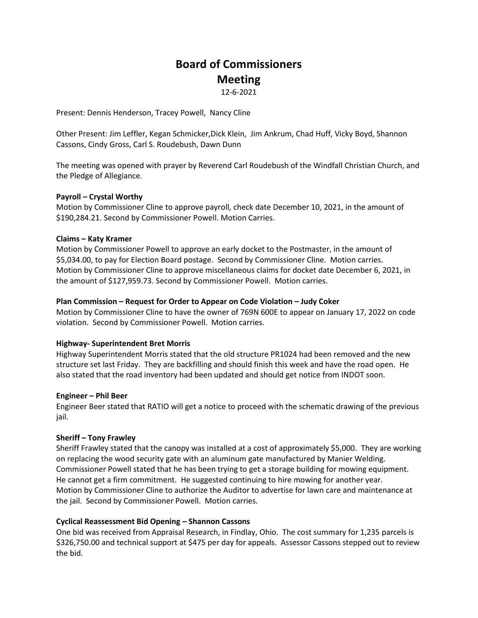# **Board of Commissioners Meeting**

12-6-2021

Present: Dennis Henderson, Tracey Powell, Nancy Cline

Other Present: Jim Leffler, Kegan Schmicker,Dick Klein, Jim Ankrum, Chad Huff, Vicky Boyd, Shannon Cassons, Cindy Gross, Carl S. Roudebush, Dawn Dunn

The meeting was opened with prayer by Reverend Carl Roudebush of the Windfall Christian Church, and the Pledge of Allegiance.

# **Payroll – Crystal Worthy**

Motion by Commissioner Cline to approve payroll, check date December 10, 2021, in the amount of \$190,284.21. Second by Commissioner Powell. Motion Carries.

# **Claims – Katy Kramer**

Motion by Commissioner Powell to approve an early docket to the Postmaster, in the amount of \$5,034.00, to pay for Election Board postage. Second by Commissioner Cline. Motion carries. Motion by Commissioner Cline to approve miscellaneous claims for docket date December 6, 2021, in the amount of \$127,959.73. Second by Commissioner Powell. Motion carries.

# **Plan Commission – Request for Order to Appear on Code Violation – Judy Coker**

Motion by Commissioner Cline to have the owner of 769N 600E to appear on January 17, 2022 on code violation. Second by Commissioner Powell. Motion carries.

# **Highway- Superintendent Bret Morris**

Highway Superintendent Morris stated that the old structure PR1024 had been removed and the new structure set last Friday. They are backfilling and should finish this week and have the road open. He also stated that the road inventory had been updated and should get notice from INDOT soon.

# **Engineer – Phil Beer**

Engineer Beer stated that RATIO will get a notice to proceed with the schematic drawing of the previous jail.

# **Sheriff – Tony Frawley**

Sheriff Frawley stated that the canopy was installed at a cost of approximately \$5,000. They are working on replacing the wood security gate with an aluminum gate manufactured by Manier Welding. Commissioner Powell stated that he has been trying to get a storage building for mowing equipment. He cannot get a firm commitment. He suggested continuing to hire mowing for another year. Motion by Commissioner Cline to authorize the Auditor to advertise for lawn care and maintenance at the jail. Second by Commissioner Powell. Motion carries.

# **Cyclical Reassessment Bid Opening – Shannon Cassons**

One bid was received from Appraisal Research, in Findlay, Ohio. The cost summary for 1,235 parcels is \$326,750.00 and technical support at \$475 per day for appeals. Assessor Cassons stepped out to review the bid.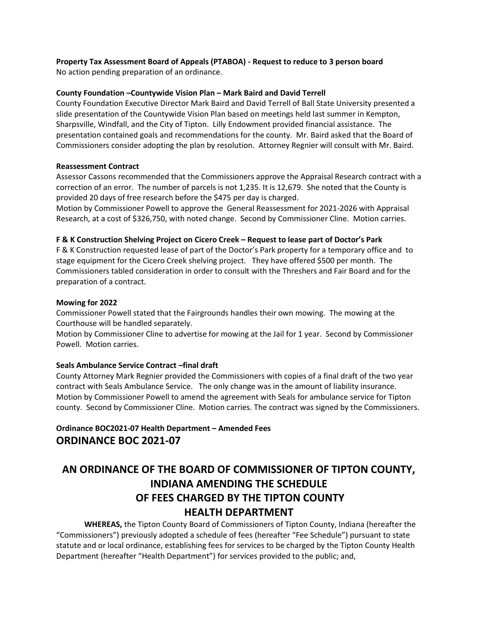# **Property Tax Assessment Board of Appeals (PTABOA) - Request to reduce to 3 person board**

No action pending preparation of an ordinance.

# **County Foundation –Countywide Vision Plan – Mark Baird and David Terrell**

County Foundation Executive Director Mark Baird and David Terrell of Ball State University presented a slide presentation of the Countywide Vision Plan based on meetings held last summer in Kempton, Sharpsville, Windfall, and the City of Tipton. Lilly Endowment provided financial assistance. The presentation contained goals and recommendations for the county. Mr. Baird asked that the Board of Commissioners consider adopting the plan by resolution. Attorney Regnier will consult with Mr. Baird.

# **Reassessment Contract**

Assessor Cassons recommended that the Commissioners approve the Appraisal Research contract with a correction of an error. The number of parcels is not 1,235. It is 12,679. She noted that the County is provided 20 days of free research before the \$475 per day is charged.

Motion by Commissioner Powell to approve the General Reassessment for 2021-2026 with Appraisal Research, at a cost of \$326,750, with noted change. Second by Commissioner Cline. Motion carries.

# **F & K Construction Shelving Project on Cicero Creek – Request to lease part of Doctor's Park**

F & K Construction requested lease of part of the Doctor's Park property for a temporary office and to stage equipment for the Cicero Creek shelving project. They have offered \$500 per month. The Commissioners tabled consideration in order to consult with the Threshers and Fair Board and for the preparation of a contract.

# **Mowing for 2022**

Commissioner Powell stated that the Fairgrounds handles their own mowing. The mowing at the Courthouse will be handled separately.

Motion by Commissioner Cline to advertise for mowing at the Jail for 1 year. Second by Commissioner Powell. Motion carries.

# **Seals Ambulance Service Contract –final draft**

County Attorney Mark Regnier provided the Commissioners with copies of a final draft of the two year contract with Seals Ambulance Service. The only change was in the amount of liability insurance. Motion by Commissioner Powell to amend the agreement with Seals for ambulance service for Tipton county. Second by Commissioner Cline. Motion carries. The contract was signed by the Commissioners.

# **Ordinance BOC2021-07 Health Department – Amended Fees ORDINANCE BOC 2021-07**

# **AN ORDINANCE OF THE BOARD OF COMMISSIONER OF TIPTON COUNTY, INDIANA AMENDING THE SCHEDULE OF FEES CHARGED BY THE TIPTON COUNTY HEALTH DEPARTMENT**

**WHEREAS,** the Tipton County Board of Commissioners of Tipton County, Indiana (hereafter the "Commissioners") previously adopted a schedule of fees (hereafter "Fee Schedule") pursuant to state statute and or local ordinance, establishing fees for services to be charged by the Tipton County Health Department (hereafter "Health Department") for services provided to the public; and,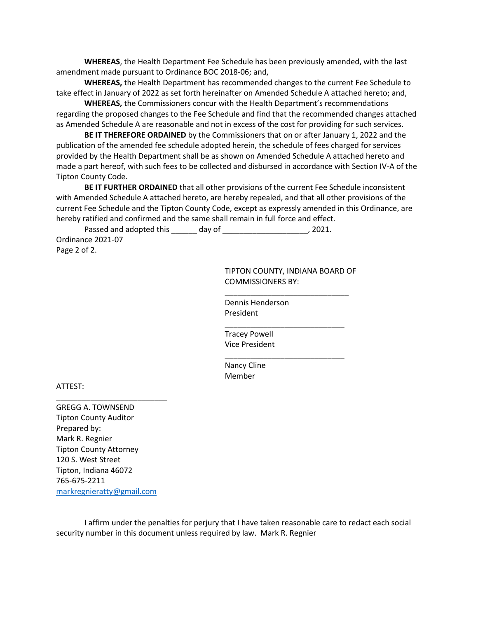**WHEREAS**, the Health Department Fee Schedule has been previously amended, with the last amendment made pursuant to Ordinance BOC 2018-06; and,

**WHEREAS,** the Health Department has recommended changes to the current Fee Schedule to take effect in January of 2022 as set forth hereinafter on Amended Schedule A attached hereto; and,

**WHEREAS,** the Commissioners concur with the Health Department's recommendations regarding the proposed changes to the Fee Schedule and find that the recommended changes attached as Amended Schedule A are reasonable and not in excess of the cost for providing for such services.

**BE IT THEREFORE ORDAINED** by the Commissioners that on or after January 1, 2022 and the publication of the amended fee schedule adopted herein, the schedule of fees charged for services provided by the Health Department shall be as shown on Amended Schedule A attached hereto and made a part hereof, with such fees to be collected and disbursed in accordance with Section IV-A of the Tipton County Code.

**BE IT FURTHER ORDAINED** that all other provisions of the current Fee Schedule inconsistent with Amended Schedule A attached hereto, are hereby repealed, and that all other provisions of the current Fee Schedule and the Tipton County Code, except as expressly amended in this Ordinance, are hereby ratified and confirmed and the same shall remain in full force and effect.

Passed and adopted this \_\_\_\_\_\_\_ day of \_\_\_\_\_\_\_\_\_\_\_\_\_\_\_\_\_\_\_\_\_\_\_, 2021.

Ordinance 2021-07 Page 2 of 2.

> TIPTON COUNTY, INDIANA BOARD OF COMMISSIONERS BY:

\_\_\_\_\_\_\_\_\_\_\_\_\_\_\_\_\_\_\_\_\_\_\_\_\_\_\_\_\_

\_\_\_\_\_\_\_\_\_\_\_\_\_\_\_\_\_\_\_\_\_\_\_\_\_\_\_\_

\_\_\_\_\_\_\_\_\_\_\_\_\_\_\_\_\_\_\_\_\_\_\_\_\_\_\_\_

Dennis Henderson President

Tracey Powell Vice President

Nancy Cline Member

ATTEST:

GREGG A. TOWNSEND Tipton County Auditor Prepared by: Mark R. Regnier Tipton County Attorney 120 S. West Street Tipton, Indiana 46072 765-675-2211 [markregnieratty@gmail.com](mailto:markregnieratty@gmail.com)

\_\_\_\_\_\_\_\_\_\_\_\_\_\_\_\_\_\_\_\_\_\_\_\_\_\_

I affirm under the penalties for perjury that I have taken reasonable care to redact each social security number in this document unless required by law. Mark R. Regnier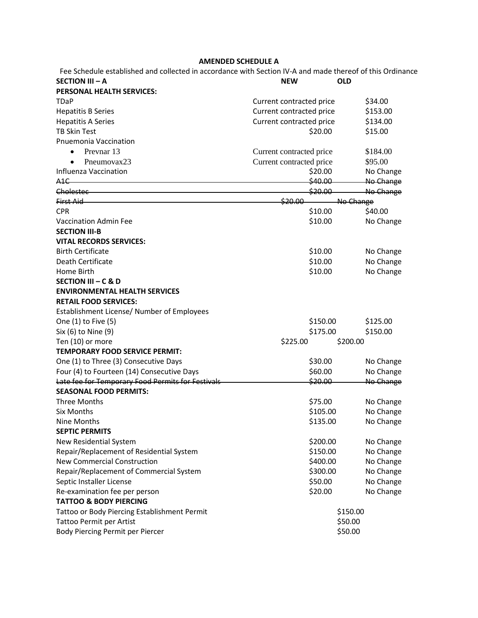# **AMENDED SCHEDULE A**

| <b>AMENDED SCHEDULE A</b>                                                                                                                                                                          |                          |            |
|----------------------------------------------------------------------------------------------------------------------------------------------------------------------------------------------------|--------------------------|------------|
| Fee Schedule established and collected in accordance with Section IV-A and made thereof of this Ordinance                                                                                          |                          |            |
| <b>SECTION III - A</b>                                                                                                                                                                             | <b>NEW</b>               | <b>OLD</b> |
| PERSONAL HEALTH SERVICES:                                                                                                                                                                          |                          |            |
| <b>TDaP</b>                                                                                                                                                                                        | Current contracted price | \$34.00    |
| <b>Hepatitis B Series</b>                                                                                                                                                                          | Current contracted price | \$153.00   |
| <b>Hepatitis A Series</b>                                                                                                                                                                          | Current contracted price | \$134.00   |
| <b>TB Skin Test</b>                                                                                                                                                                                | \$20.00                  | \$15.00    |
| <b>Pnuemonia Vaccination</b>                                                                                                                                                                       |                          |            |
| Prevnar 13<br>$\bullet$                                                                                                                                                                            | Current contracted price | \$184.00   |
| Pneumovax23<br>$\bullet$                                                                                                                                                                           | Current contracted price | \$95.00    |
| Influenza Vaccination                                                                                                                                                                              | \$20.00                  | No Change  |
| A1C                                                                                                                                                                                                | \$40.00                  | No Change  |
| Cholestec <b>Cholestec Cholestec Cholestec Cholestec Cholestec Cholestec Cholestec Cholestec Cholestec Cholestec Cholestec Cholestec Cholestec Cholestec Cholestec Cholestec Cholestec Cholest</b> | \$20.00                  | No Change  |
| First Aid                                                                                                                                                                                          | \$20.00                  | No Change  |
| <b>CPR</b>                                                                                                                                                                                         | \$10.00                  | \$40.00    |
| <b>Vaccination Admin Fee</b>                                                                                                                                                                       | \$10.00                  | No Change  |
| <b>SECTION III-B</b>                                                                                                                                                                               |                          |            |
| <b>VITAL RECORDS SERVICES:</b>                                                                                                                                                                     |                          |            |
| <b>Birth Certificate</b>                                                                                                                                                                           | \$10.00                  | No Change  |
| Death Certificate                                                                                                                                                                                  | \$10.00                  | No Change  |
| Home Birth                                                                                                                                                                                         | \$10.00                  | No Change  |
| SECTION III - C & D                                                                                                                                                                                |                          |            |
| <b>ENVIRONMENTAL HEALTH SERVICES</b>                                                                                                                                                               |                          |            |
| <b>RETAIL FOOD SERVICES:</b>                                                                                                                                                                       |                          |            |
| Establishment License/ Number of Employees                                                                                                                                                         |                          |            |
| One (1) to Five (5)                                                                                                                                                                                | \$150.00                 | \$125.00   |
| Six (6) to Nine (9)                                                                                                                                                                                | \$175.00                 | \$150.00   |
| Ten (10) or more                                                                                                                                                                                   | \$225.00                 | \$200.00   |
| <b>TEMPORARY FOOD SERVICE PERMIT:</b>                                                                                                                                                              |                          |            |
| One (1) to Three (3) Consecutive Days                                                                                                                                                              | \$30.00                  | No Change  |
| Four (4) to Fourteen (14) Consecutive Days                                                                                                                                                         | \$60.00                  | No Change  |
| Late fee for Temporary Food Permits for Festivals                                                                                                                                                  | \$20.00                  | No Change  |
| <b>SEASONAL FOOD PERMITS:</b>                                                                                                                                                                      |                          |            |
| <b>Three Months</b>                                                                                                                                                                                | \$75.00                  | No Change  |
| Six Months                                                                                                                                                                                         | \$105.00                 | No Change  |
| Nine Months                                                                                                                                                                                        | \$135.00                 | No Change  |
| <b>SEPTIC PERMITS</b>                                                                                                                                                                              |                          |            |
| New Residential System                                                                                                                                                                             | \$200.00                 | No Change  |
| Repair/Replacement of Residential System                                                                                                                                                           | \$150.00                 | No Change  |
| New Commercial Construction                                                                                                                                                                        | \$400.00                 | No Change  |
| Repair/Replacement of Commercial System                                                                                                                                                            | \$300.00                 | No Change  |
| Septic Installer License                                                                                                                                                                           | \$50.00                  | No Change  |
| Re-examination fee per person                                                                                                                                                                      | \$20.00                  | No Change  |
| <b>TATTOO &amp; BODY PIERCING</b>                                                                                                                                                                  |                          |            |
|                                                                                                                                                                                                    |                          | \$150.00   |
| Tattoo or Body Piercing Establishment Permit                                                                                                                                                       |                          | \$50.00    |
| Tattoo Permit per Artist                                                                                                                                                                           |                          |            |
| Body Piercing Permit per Piercer                                                                                                                                                                   |                          | \$50.00    |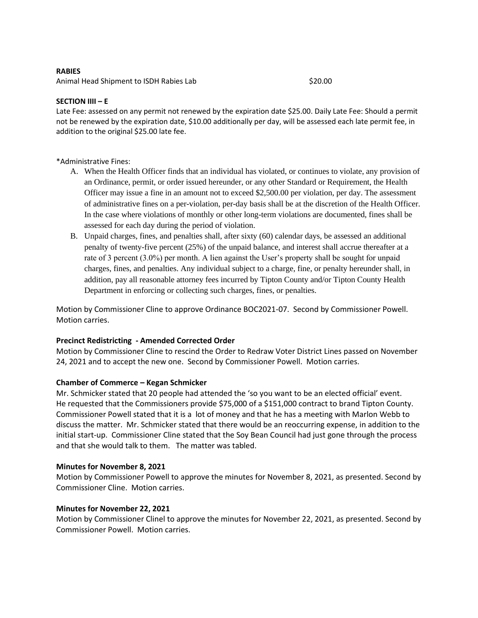### **RABIES**

Animal Head Shipment to ISDH Rabies Lab \$20.00

### **SECTION IIII – E**

Late Fee: assessed on any permit not renewed by the expiration date \$25.00. Daily Late Fee: Should a permit not be renewed by the expiration date, \$10.00 additionally per day, will be assessed each late permit fee, in addition to the original \$25.00 late fee.

\*Administrative Fines:

- A. When the Health Officer finds that an individual has violated, or continues to violate, any provision of an Ordinance, permit, or order issued hereunder, or any other Standard or Requirement, the Health Officer may issue a fine in an amount not to exceed \$2,500.00 per violation, per day. The assessment of administrative fines on a per-violation, per-day basis shall be at the discretion of the Health Officer. In the case where violations of monthly or other long-term violations are documented, fines shall be assessed for each day during the period of violation.
- B. Unpaid charges, fines, and penalties shall, after sixty (60) calendar days, be assessed an additional penalty of twenty-five percent (25%) of the unpaid balance, and interest shall accrue thereafter at a rate of 3 percent (3.0%) per month. A lien against the User's property shall be sought for unpaid charges, fines, and penalties. Any individual subject to a charge, fine, or penalty hereunder shall, in addition, pay all reasonable attorney fees incurred by Tipton County and/or Tipton County Health Department in enforcing or collecting such charges, fines, or penalties.

Motion by Commissioner Cline to approve Ordinance BOC2021-07. Second by Commissioner Powell. Motion carries.

# **Precinct Redistricting - Amended Corrected Order**

Motion by Commissioner Cline to rescind the Order to Redraw Voter District Lines passed on November 24, 2021 and to accept the new one. Second by Commissioner Powell. Motion carries.

# **Chamber of Commerce – Kegan Schmicker**

Mr. Schmicker stated that 20 people had attended the 'so you want to be an elected official' event. He requested that the Commissioners provide \$75,000 of a \$151,000 contract to brand Tipton County. Commissioner Powell stated that it is a lot of money and that he has a meeting with Marlon Webb to discuss the matter. Mr. Schmicker stated that there would be an reoccurring expense, in addition to the initial start-up. Commissioner Cline stated that the Soy Bean Council had just gone through the process and that she would talk to them. The matter was tabled.

# **Minutes for November 8, 2021**

Motion by Commissioner Powell to approve the minutes for November 8, 2021, as presented. Second by Commissioner Cline. Motion carries.

# **Minutes for November 22, 2021**

Motion by Commissioner Clinel to approve the minutes for November 22, 2021, as presented. Second by Commissioner Powell. Motion carries.